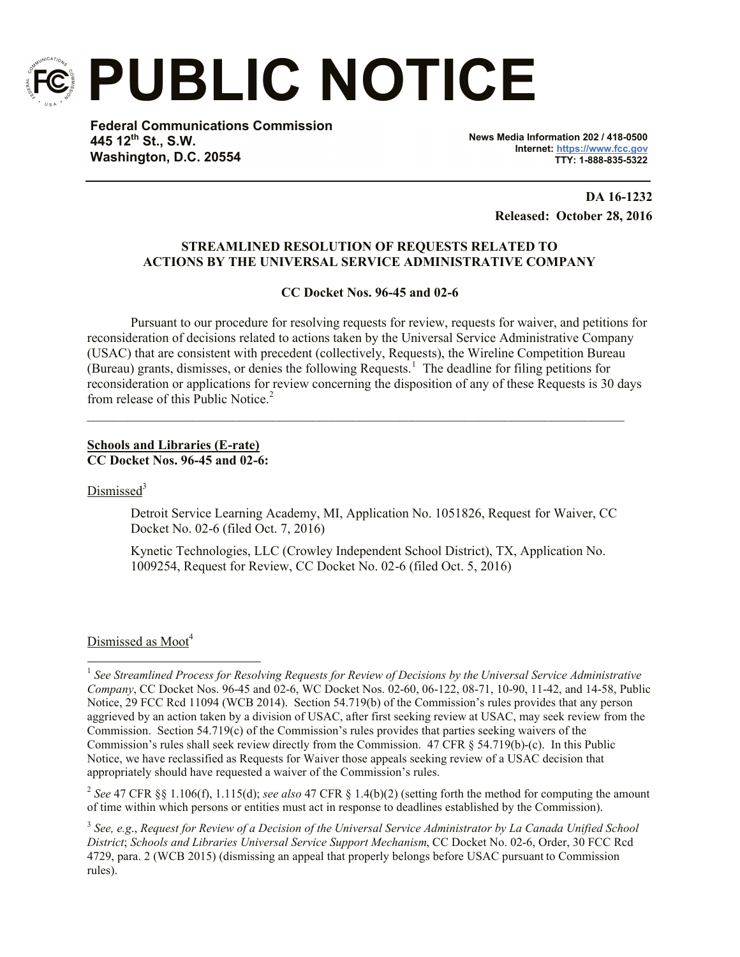

**PUBLIC NOTICE**

**Federal Communications Commission 445 12th St., S.W. Washington, D.C. 20554**

**News Media Information 202 / 418-0500 Internet: https://www.fcc.gov TTY: 1-888-835-5322**

> **DA 16-1232 Released: October 28, 2016**

# **STREAMLINED RESOLUTION OF REQUESTS RELATED TO ACTIONS BY THE UNIVERSAL SERVICE ADMINISTRATIVE COMPANY**

### **CC Docket Nos. 96-45 and 02-6**

Pursuant to our procedure for resolving requests for review, requests for waiver, and petitions for reconsideration of decisions related to actions taken by the Universal Service Administrative Company (USAC) that are consistent with precedent (collectively, Requests), the Wireline Competition Bureau (Bureau) grants, dismisses, or denies the following Requests.<sup>1</sup> The deadline for filing petitions for reconsideration or applications for review concerning the disposition of any of these Requests is 30 days from release of this Public Notice.<sup>2</sup>

 $\mathcal{L}_\mathcal{L} = \{ \mathcal{L}_\mathcal{L} = \{ \mathcal{L}_\mathcal{L} = \{ \mathcal{L}_\mathcal{L} = \{ \mathcal{L}_\mathcal{L} = \{ \mathcal{L}_\mathcal{L} = \{ \mathcal{L}_\mathcal{L} = \{ \mathcal{L}_\mathcal{L} = \{ \mathcal{L}_\mathcal{L} = \{ \mathcal{L}_\mathcal{L} = \{ \mathcal{L}_\mathcal{L} = \{ \mathcal{L}_\mathcal{L} = \{ \mathcal{L}_\mathcal{L} = \{ \mathcal{L}_\mathcal{L} = \{ \mathcal{L}_\mathcal{$ 

### **Schools and Libraries (E-rate) CC Docket Nos. 96-45 and 02-6:**

Dismissed<sup>3</sup>

Detroit Service Learning Academy, MI, Application No. 1051826, Request for Waiver, CC Docket No. 02-6 (filed Oct. 7, 2016)

Kynetic Technologies, LLC (Crowley Independent School District), TX, Application No. 1009254, Request for Review, CC Docket No. 02-6 (filed Oct. 5, 2016)

### Dismissed as Moot<sup>4</sup>

2 *See* 47 CFR §§ 1.106(f), 1.115(d); *see also* 47 CFR § 1.4(b)(2) (setting forth the method for computing the amount of time within which persons or entities must act in response to deadlines established by the Commission).

3 *See, e.g*., *Request for Review of a Decision of the Universal Service Administrator by La Canada Unified School District*; *Schools and Libraries Universal Service Support Mechanism*, CC Docket No. 02-6, Order, 30 FCC Rcd 4729, para. 2 (WCB 2015) (dismissing an appeal that properly belongs before USAC pursuant to Commission rules).

 1 *See Streamlined Process for Resolving Requests for Review of Decisions by the Universal Service Administrative Company*, CC Docket Nos. 96-45 and 02-6, WC Docket Nos. 02-60, 06-122, 08-71, 10-90, 11-42, and 14-58, Public Notice, 29 FCC Rcd 11094 (WCB 2014). Section 54.719(b) of the Commission's rules provides that any person aggrieved by an action taken by a division of USAC, after first seeking review at USAC, may seek review from the Commission. Section 54.719(c) of the Commission's rules provides that parties seeking waivers of the Commission's rules shall seek review directly from the Commission. 47 CFR § 54.719(b)-(c). In this Public Notice, we have reclassified as Requests for Waiver those appeals seeking review of a USAC decision that appropriately should have requested a waiver of the Commission's rules.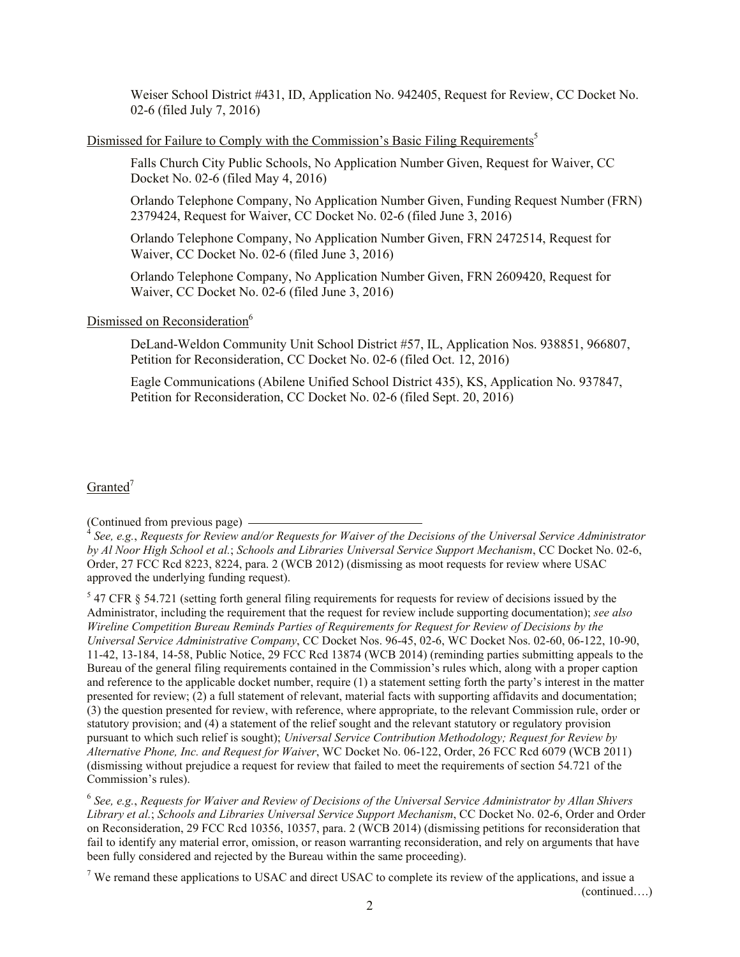Weiser School District #431, ID, Application No. 942405, Request for Review, CC Docket No. 02-6 (filed July 7, 2016)

### Dismissed for Failure to Comply with the Commission's Basic Filing Requirements<sup>5</sup>

Falls Church City Public Schools, No Application Number Given, Request for Waiver, CC Docket No. 02-6 (filed May 4, 2016)

Orlando Telephone Company, No Application Number Given, Funding Request Number (FRN) 2379424, Request for Waiver, CC Docket No. 02-6 (filed June 3, 2016)

Orlando Telephone Company, No Application Number Given, FRN 2472514, Request for Waiver, CC Docket No. 02-6 (filed June 3, 2016)

Orlando Telephone Company, No Application Number Given, FRN 2609420, Request for Waiver, CC Docket No. 02-6 (filed June 3, 2016)

# Dismissed on Reconsideration<sup>6</sup>

DeLand-Weldon Community Unit School District #57, IL, Application Nos. 938851, 966807, Petition for Reconsideration, CC Docket No. 02-6 (filed Oct. 12, 2016)

Eagle Communications (Abilene Unified School District 435), KS, Application No. 937847, Petition for Reconsideration, CC Docket No. 02-6 (filed Sept. 20, 2016)

### $Granted^7$

6 *See, e.g.*, *Requests for Waiver and Review of Decisions of the Universal Service Administrator by Allan Shivers Library et al.*; *Schools and Libraries Universal Service Support Mechanism*, CC Docket No. 02-6, Order and Order on Reconsideration, 29 FCC Rcd 10356, 10357, para. 2 (WCB 2014) (dismissing petitions for reconsideration that fail to identify any material error, omission, or reason warranting reconsideration, and rely on arguments that have been fully considered and rejected by the Bureau within the same proceeding).

<sup>7</sup> We remand these applications to USAC and direct USAC to complete its review of the applications, and issue a

(continued….)

<sup>(</sup>Continued from previous page)

<sup>4</sup> *See, e.g.*, *Requests for Review and/or Requests for Waiver of the Decisions of the Universal Service Administrator by Al Noor High School et al.*; *Schools and Libraries Universal Service Support Mechanism*, CC Docket No. 02-6, Order, 27 FCC Rcd 8223, 8224, para. 2 (WCB 2012) (dismissing as moot requests for review where USAC approved the underlying funding request).

 $5$  47 CFR  $\S$  54.721 (setting forth general filing requirements for requests for review of decisions issued by the Administrator, including the requirement that the request for review include supporting documentation); *see also Wireline Competition Bureau Reminds Parties of Requirements for Request for Review of Decisions by the Universal Service Administrative Company*, CC Docket Nos. 96-45, 02-6, WC Docket Nos. 02-60, 06-122, 10-90, 11-42, 13-184, 14-58, Public Notice, 29 FCC Rcd 13874 (WCB 2014) (reminding parties submitting appeals to the Bureau of the general filing requirements contained in the Commission's rules which, along with a proper caption and reference to the applicable docket number, require (1) a statement setting forth the party's interest in the matter presented for review; (2) a full statement of relevant, material facts with supporting affidavits and documentation; (3) the question presented for review, with reference, where appropriate, to the relevant Commission rule, order or statutory provision; and (4) a statement of the relief sought and the relevant statutory or regulatory provision pursuant to which such relief is sought); *Universal Service Contribution Methodology; Request for Review by Alternative Phone, Inc. and Request for Waiver*, WC Docket No. 06-122, Order, 26 FCC Rcd 6079 (WCB 2011) (dismissing without prejudice a request for review that failed to meet the requirements of section 54.721 of the Commission's rules).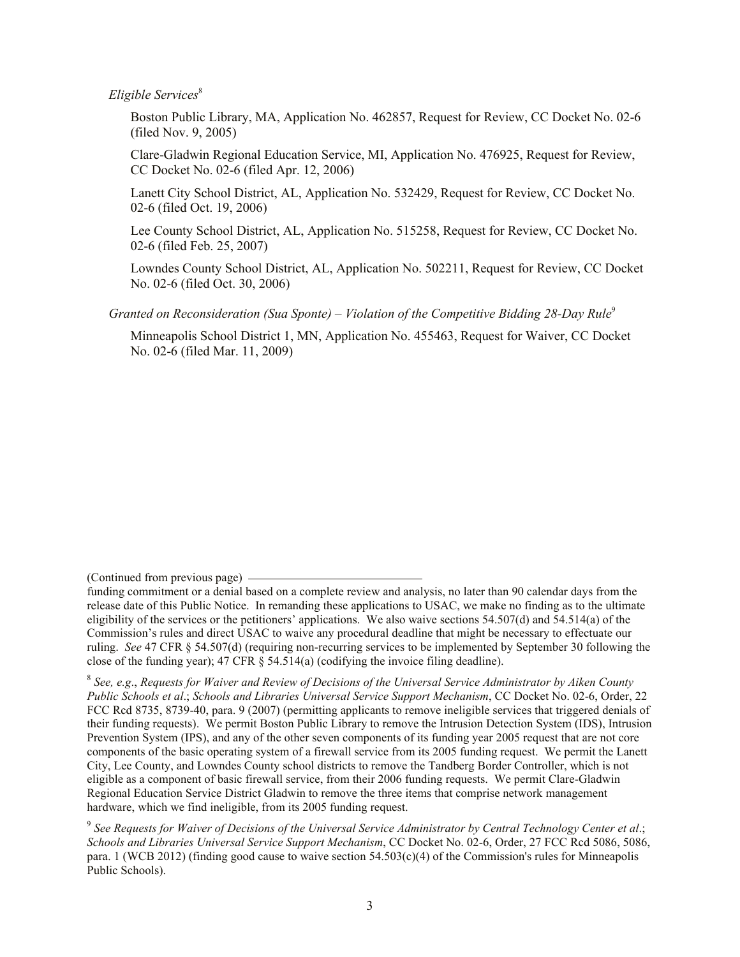*Eligible Services*<sup>8</sup>

Boston Public Library, MA, Application No. 462857, Request for Review, CC Docket No. 02-6 (filed Nov. 9, 2005)

Clare-Gladwin Regional Education Service, MI, Application No. 476925, Request for Review, CC Docket No. 02-6 (filed Apr. 12, 2006)

Lanett City School District, AL, Application No. 532429, Request for Review, CC Docket No. 02-6 (filed Oct. 19, 2006)

Lee County School District, AL, Application No. 515258, Request for Review, CC Docket No. 02-6 (filed Feb. 25, 2007)

Lowndes County School District, AL, Application No. 502211, Request for Review, CC Docket No. 02-6 (filed Oct. 30, 2006)

*Granted on Reconsideration (Sua Sponte) – Violation of the Competitive Bidding 28-Day Rule*<sup>9</sup>

Minneapolis School District 1, MN, Application No. 455463, Request for Waiver, CC Docket No. 02-6 (filed Mar. 11, 2009)

<sup>(</sup>Continued from previous page)

funding commitment or a denial based on a complete review and analysis, no later than 90 calendar days from the release date of this Public Notice. In remanding these applications to USAC, we make no finding as to the ultimate eligibility of the services or the petitioners' applications. We also waive sections 54.507(d) and 54.514(a) of the Commission's rules and direct USAC to waive any procedural deadline that might be necessary to effectuate our ruling. *See* 47 CFR § 54.507(d) (requiring non-recurring services to be implemented by September 30 following the close of the funding year); 47 CFR § 54.514(a) (codifying the invoice filing deadline).

<sup>8</sup> *See, e.g*., *Requests for Waiver and Review of Decisions of the Universal Service Administrator by Aiken County Public Schools et al*.; *Schools and Libraries Universal Service Support Mechanism*, CC Docket No. 02-6, Order, 22 FCC Rcd 8735, 8739-40, para. 9 (2007) (permitting applicants to remove ineligible services that triggered denials of their funding requests). We permit Boston Public Library to remove the Intrusion Detection System (IDS), Intrusion Prevention System (IPS), and any of the other seven components of its funding year 2005 request that are not core components of the basic operating system of a firewall service from its 2005 funding request. We permit the Lanett City, Lee County, and Lowndes County school districts to remove the Tandberg Border Controller, which is not eligible as a component of basic firewall service, from their 2006 funding requests. We permit Clare-Gladwin Regional Education Service District Gladwin to remove the three items that comprise network management hardware, which we find ineligible, from its 2005 funding request.

<sup>9</sup> *See Requests for Waiver of Decisions of the Universal Service Administrator by Central Technology Center et al*.; *Schools and Libraries Universal Service Support Mechanism*, CC Docket No. 02-6, Order, 27 FCC Rcd 5086, 5086, para. 1 (WCB 2012) (finding good cause to waive section 54.503(c)(4) of the Commission's rules for Minneapolis Public Schools).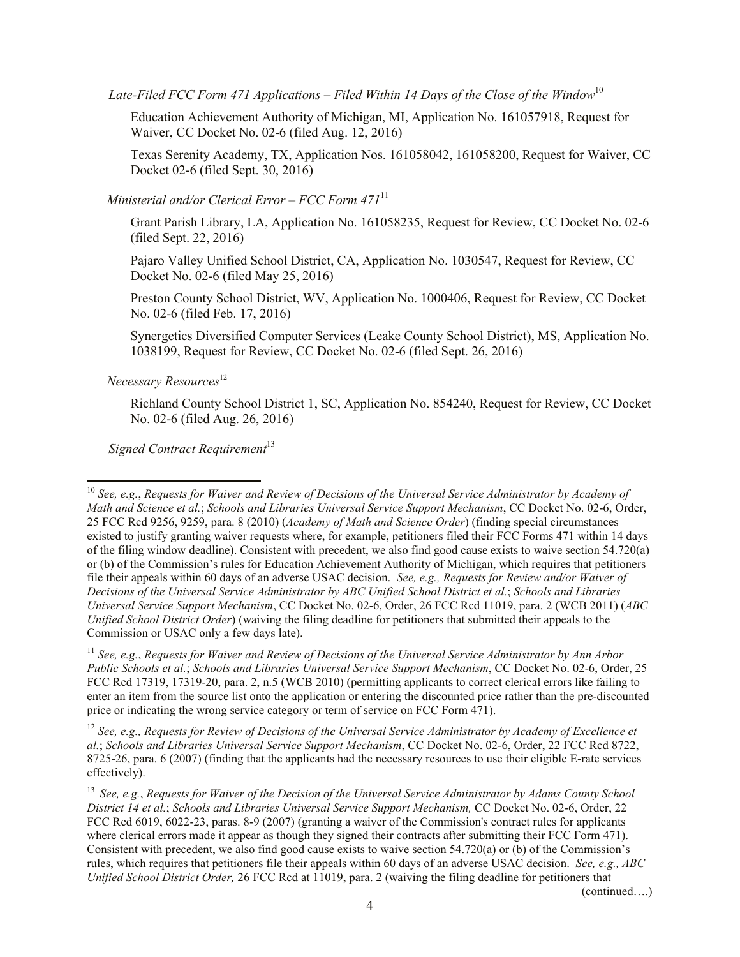*Late-Filed FCC Form 471 Applications – Filed Within 14 Days of the Close of the Window*<sup>10</sup>

Education Achievement Authority of Michigan, MI, Application No. 161057918, Request for Waiver, CC Docket No. 02-6 (filed Aug. 12, 2016)

Texas Serenity Academy, TX, Application Nos. 161058042, 161058200, Request for Waiver, CC Docket 02-6 (filed Sept. 30, 2016)

*Ministerial and/or Clerical Error – FCC Form 471*<sup>11</sup>

Grant Parish Library, LA, Application No. 161058235, Request for Review, CC Docket No. 02-6 (filed Sept. 22, 2016)

Pajaro Valley Unified School District, CA, Application No. 1030547, Request for Review, CC Docket No. 02-6 (filed May 25, 2016)

Preston County School District, WV, Application No. 1000406, Request for Review, CC Docket No. 02-6 (filed Feb. 17, 2016)

Synergetics Diversified Computer Services (Leake County School District), MS, Application No. 1038199, Request for Review, CC Docket No. 02-6 (filed Sept. 26, 2016)

 *Necessary Resources*<sup>12</sup>

 $\overline{\phantom{a}}$ 

Richland County School District 1, SC, Application No. 854240, Request for Review, CC Docket No. 02-6 (filed Aug. 26, 2016)

**Signed Contract Requirement**<sup>13</sup>

<sup>12</sup> *See, e.g., Requests for Review of Decisions of the Universal Service Administrator by Academy of Excellence et al.*; *Schools and Libraries Universal Service Support Mechanism*, CC Docket No. 02-6, Order, 22 FCC Rcd 8722, 8725-26, para. 6 (2007) (finding that the applicants had the necessary resources to use their eligible E-rate services effectively).

(continued….)

<sup>10</sup> *See, e.g.*, *Requests for Waiver and Review of Decisions of the Universal Service Administrator by Academy of Math and Science et al.*; *Schools and Libraries Universal Service Support Mechanism*, CC Docket No. 02-6, Order, 25 FCC Rcd 9256, 9259, para. 8 (2010) (*Academy of Math and Science Order*) (finding special circumstances existed to justify granting waiver requests where, for example, petitioners filed their FCC Forms 471 within 14 days of the filing window deadline). Consistent with precedent, we also find good cause exists to waive section 54.720(a) or (b) of the Commission's rules for Education Achievement Authority of Michigan, which requires that petitioners file their appeals within 60 days of an adverse USAC decision. *See, e.g., Requests for Review and/or Waiver of Decisions of the Universal Service Administrator by ABC Unified School District et al.*; *Schools and Libraries Universal Service Support Mechanism*, CC Docket No. 02-6, Order, 26 FCC Rcd 11019, para. 2 (WCB 2011) (*ABC Unified School District Order*) (waiving the filing deadline for petitioners that submitted their appeals to the Commission or USAC only a few days late).

<sup>11</sup> *See, e.g.*, *Requests for Waiver and Review of Decisions of the Universal Service Administrator by Ann Arbor Public Schools et al.*; *Schools and Libraries Universal Service Support Mechanism*, CC Docket No. 02-6, Order, 25 FCC Rcd 17319, 17319-20, para. 2, n.5 (WCB 2010) (permitting applicants to correct clerical errors like failing to enter an item from the source list onto the application or entering the discounted price rather than the pre-discounted price or indicating the wrong service category or term of service on FCC Form 471).

<sup>13</sup> *See, e.g.*, *Requests for Waiver of the Decision of the Universal Service Administrator by Adams County School District 14 et al.*; *Schools and Libraries Universal Service Support Mechanism,* CC Docket No. 02-6, Order, 22 FCC Rcd 6019, 6022-23, paras. 8-9 (2007) (granting a waiver of the Commission's contract rules for applicants where clerical errors made it appear as though they signed their contracts after submitting their FCC Form 471). Consistent with precedent, we also find good cause exists to waive section 54.720(a) or (b) of the Commission's rules, which requires that petitioners file their appeals within 60 days of an adverse USAC decision. *See, e.g., ABC Unified School District Order,* 26 FCC Rcd at 11019, para. 2 (waiving the filing deadline for petitioners that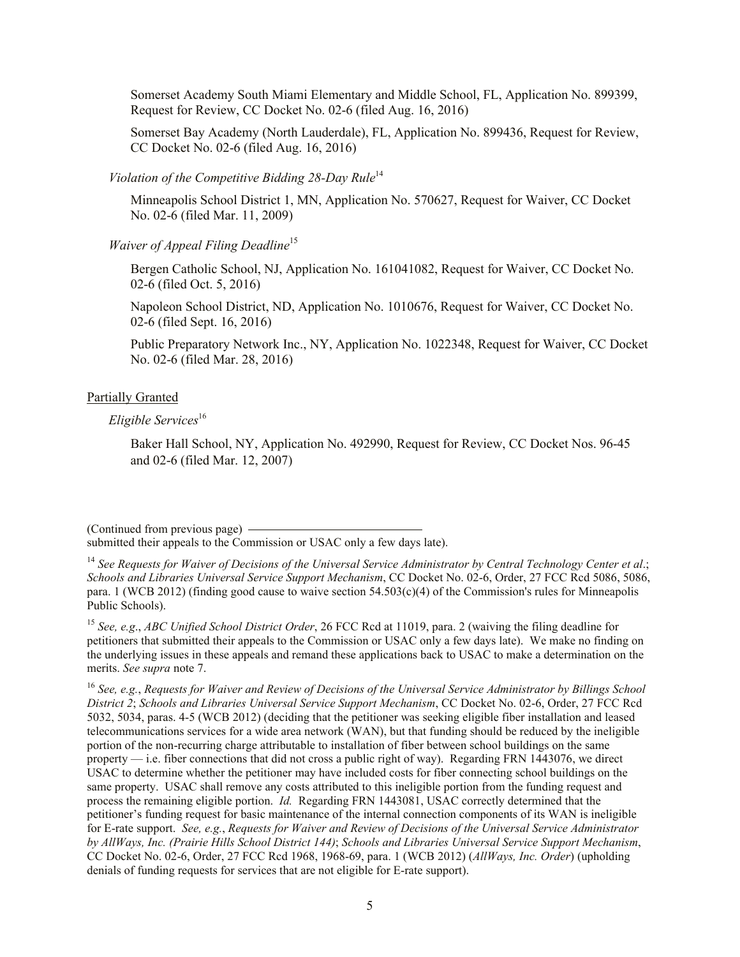Somerset Academy South Miami Elementary and Middle School, FL, Application No. 899399, Request for Review, CC Docket No. 02-6 (filed Aug. 16, 2016)

Somerset Bay Academy (North Lauderdale), FL, Application No. 899436, Request for Review, CC Docket No. 02-6 (filed Aug. 16, 2016)

*Violation of the Competitive Bidding 28-Day Rule*<sup>14</sup>

Minneapolis School District 1, MN, Application No. 570627, Request for Waiver, CC Docket No. 02-6 (filed Mar. 11, 2009)

*Waiver of Appeal Filing Deadline*<sup>15</sup>

Bergen Catholic School, NJ, Application No. 161041082, Request for Waiver, CC Docket No. 02-6 (filed Oct. 5, 2016)

Napoleon School District, ND, Application No. 1010676, Request for Waiver, CC Docket No. 02-6 (filed Sept. 16, 2016)

Public Preparatory Network Inc., NY, Application No. 1022348, Request for Waiver, CC Docket No. 02-6 (filed Mar. 28, 2016)

### Partially Granted

*Eligible Services*<sup>16</sup>

Baker Hall School, NY, Application No. 492990, Request for Review, CC Docket Nos. 96-45 and 02-6 (filed Mar. 12, 2007)

(Continued from previous page)

submitted their appeals to the Commission or USAC only a few days late).

<sup>14</sup> *See Requests for Waiver of Decisions of the Universal Service Administrator by Central Technology Center et al*.; *Schools and Libraries Universal Service Support Mechanism*, CC Docket No. 02-6, Order, 27 FCC Rcd 5086, 5086, para. 1 (WCB 2012) (finding good cause to waive section 54.503(c)(4) of the Commission's rules for Minneapolis Public Schools).

<sup>15</sup> *See, e.g*., *ABC Unified School District Order*, 26 FCC Rcd at 11019, para. 2 (waiving the filing deadline for petitioners that submitted their appeals to the Commission or USAC only a few days late). We make no finding on the underlying issues in these appeals and remand these applications back to USAC to make a determination on the merits. *See supra* note 7.

<sup>16</sup> *See, e.g.*, *Requests for Waiver and Review of Decisions of the Universal Service Administrator by Billings School District 2*; *Schools and Libraries Universal Service Support Mechanism*, CC Docket No. 02-6, Order, 27 FCC Rcd 5032, 5034, paras. 4-5 (WCB 2012) (deciding that the petitioner was seeking eligible fiber installation and leased telecommunications services for a wide area network (WAN), but that funding should be reduced by the ineligible portion of the non-recurring charge attributable to installation of fiber between school buildings on the same property — i.e. fiber connections that did not cross a public right of way). Regarding FRN 1443076, we direct USAC to determine whether the petitioner may have included costs for fiber connecting school buildings on the same property. USAC shall remove any costs attributed to this ineligible portion from the funding request and process the remaining eligible portion. *Id.* Regarding FRN 1443081, USAC correctly determined that the petitioner's funding request for basic maintenance of the internal connection components of its WAN is ineligible for E-rate support. *See, e.g.*, *Requests for Waiver and Review of Decisions of the Universal Service Administrator by AllWays, Inc. (Prairie Hills School District 144)*; *Schools and Libraries Universal Service Support Mechanism*, CC Docket No. 02-6, Order, 27 FCC Rcd 1968, 1968-69, para. 1 (WCB 2012) (*AllWays, Inc. Order*) (upholding denials of funding requests for services that are not eligible for E-rate support).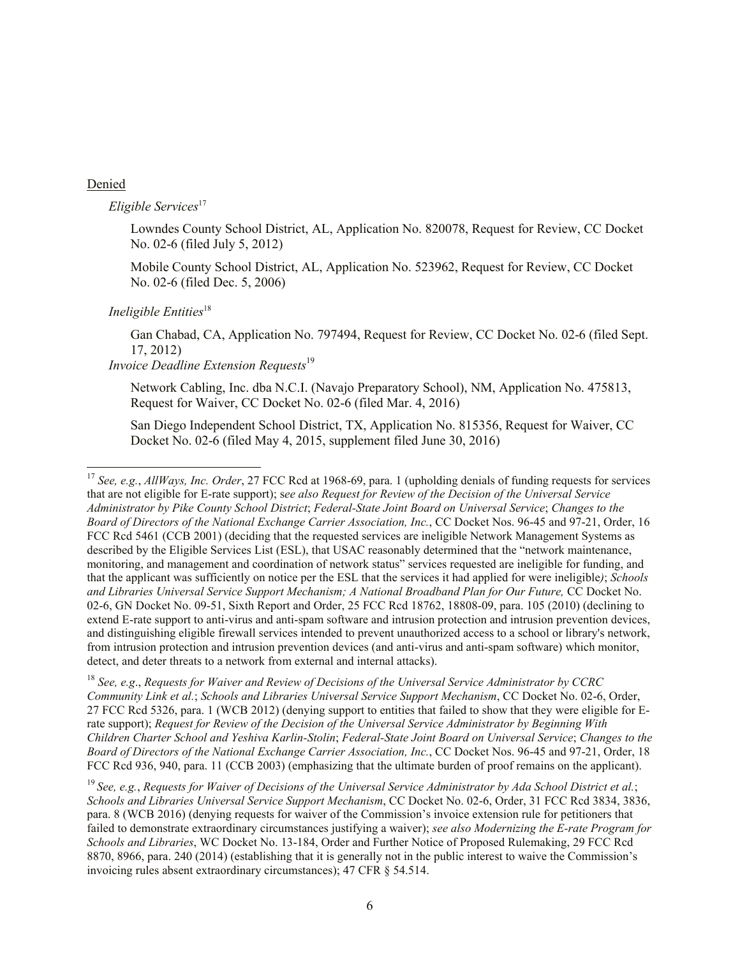#### Denied

 $\overline{a}$ 

### $Eligible Services<sup>17</sup>$

Lowndes County School District, AL, Application No. 820078, Request for Review, CC Docket No. 02-6 (filed July 5, 2012)

Mobile County School District, AL, Application No. 523962, Request for Review, CC Docket No. 02-6 (filed Dec. 5, 2006)

#### *Ineligible Entities*<sup>18</sup>

Gan Chabad, CA, Application No. 797494, Request for Review, CC Docket No. 02-6 (filed Sept. 17, 2012)

# *Invoice Deadline Extension Requests*<sup>19</sup>

Network Cabling, Inc. dba N.C.I. (Navajo Preparatory School), NM, Application No. 475813, Request for Waiver, CC Docket No. 02-6 (filed Mar. 4, 2016)

San Diego Independent School District, TX, Application No. 815356, Request for Waiver, CC Docket No. 02-6 (filed May 4, 2015, supplement filed June 30, 2016)

<sup>18</sup> *See, e.g*., *Requests for Waiver and Review of Decisions of the Universal Service Administrator by CCRC Community Link et al.*; *Schools and Libraries Universal Service Support Mechanism*, CC Docket No. 02-6, Order, 27 FCC Rcd 5326, para. 1 (WCB 2012) (denying support to entities that failed to show that they were eligible for Erate support); *Request for Review of the Decision of the Universal Service Administrator by Beginning With Children Charter School and Yeshiva Karlin-Stolin*; *Federal-State Joint Board on Universal Service*; *Changes to the Board of Directors of the National Exchange Carrier Association, Inc.*, CC Docket Nos. 96-45 and 97-21, Order, 18 FCC Rcd 936, 940, para. 11 (CCB 2003) (emphasizing that the ultimate burden of proof remains on the applicant).

<sup>17</sup> *See, e.g.*, *AllWays, Inc. Order*, 27 FCC Rcd at 1968-69, para. 1 (upholding denials of funding requests for services that are not eligible for E-rate support); s*ee also Request for Review of the Decision of the Universal Service Administrator by Pike County School District*; *Federal-State Joint Board on Universal Service*; *Changes to the Board of Directors of the National Exchange Carrier Association, Inc.*, CC Docket Nos. 96-45 and 97-21, Order, 16 FCC Rcd 5461 (CCB 2001) (deciding that the requested services are ineligible Network Management Systems as described by the Eligible Services List (ESL), that USAC reasonably determined that the "network maintenance, monitoring, and management and coordination of network status" services requested are ineligible for funding, and that the applicant was sufficiently on notice per the ESL that the services it had applied for were ineligible*)*; *Schools and Libraries Universal Service Support Mechanism; A National Broadband Plan for Our Future,* CC Docket No. 02-6, GN Docket No. 09-51, Sixth Report and Order, 25 FCC Rcd 18762, 18808-09, para. 105 (2010) (declining to extend E-rate support to anti-virus and anti-spam software and intrusion protection and intrusion prevention devices, and distinguishing eligible firewall services intended to prevent unauthorized access to a school or library's network, from intrusion protection and intrusion prevention devices (and anti-virus and anti-spam software) which monitor, detect, and deter threats to a network from external and internal attacks).

<sup>19</sup> *See, e.g.*, *Requests for Waiver of Decisions of the Universal Service Administrator by Ada School District et al.*; *Schools and Libraries Universal Service Support Mechanism*, CC Docket No. 02-6, Order, 31 FCC Rcd 3834, 3836, para. 8 (WCB 2016) (denying requests for waiver of the Commission's invoice extension rule for petitioners that failed to demonstrate extraordinary circumstances justifying a waiver); *see also Modernizing the E-rate Program for Schools and Libraries*, WC Docket No. 13-184, Order and Further Notice of Proposed Rulemaking, 29 FCC Rcd 8870, 8966, para. 240 (2014) (establishing that it is generally not in the public interest to waive the Commission's invoicing rules absent extraordinary circumstances); 47 CFR § 54.514.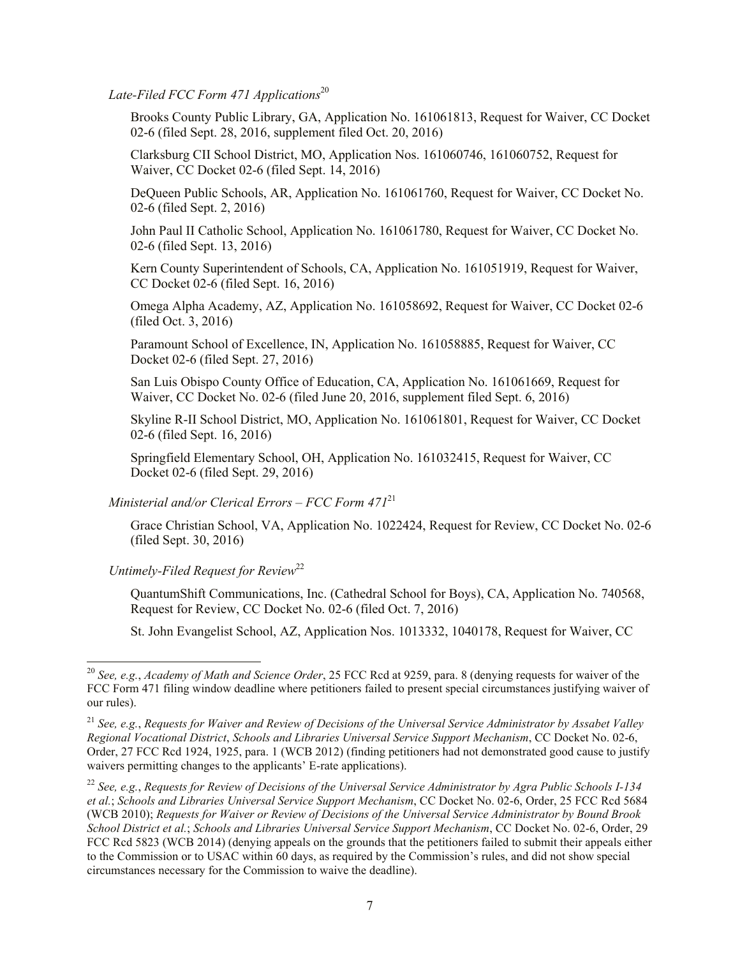Late-Filed FCC Form 471 Applications<sup>20</sup>

Brooks County Public Library, GA, Application No. 161061813, Request for Waiver, CC Docket 02-6 (filed Sept. 28, 2016, supplement filed Oct. 20, 2016)

Clarksburg CII School District, MO, Application Nos. 161060746, 161060752, Request for Waiver, CC Docket 02-6 (filed Sept. 14, 2016)

DeQueen Public Schools, AR, Application No. 161061760, Request for Waiver, CC Docket No. 02-6 (filed Sept. 2, 2016)

John Paul II Catholic School, Application No. 161061780, Request for Waiver, CC Docket No. 02-6 (filed Sept. 13, 2016)

Kern County Superintendent of Schools, CA, Application No. 161051919, Request for Waiver, CC Docket 02-6 (filed Sept. 16, 2016)

Omega Alpha Academy, AZ, Application No. 161058692, Request for Waiver, CC Docket 02-6 (filed Oct. 3, 2016)

Paramount School of Excellence, IN, Application No. 161058885, Request for Waiver, CC Docket 02-6 (filed Sept. 27, 2016)

San Luis Obispo County Office of Education, CA, Application No. 161061669, Request for Waiver, CC Docket No. 02-6 (filed June 20, 2016, supplement filed Sept. 6, 2016)

Skyline R-II School District, MO, Application No. 161061801, Request for Waiver, CC Docket 02-6 (filed Sept. 16, 2016)

Springfield Elementary School, OH, Application No. 161032415, Request for Waiver, CC Docket 02-6 (filed Sept. 29, 2016)

*Ministerial and/or Clerical Errors – FCC Form 471*<sup>21</sup>

Grace Christian School, VA, Application No. 1022424, Request for Review, CC Docket No. 02-6 (filed Sept. 30, 2016)

*Untimely-Filed Request for Review*<sup>22</sup>

 $\overline{a}$ 

QuantumShift Communications, Inc. (Cathedral School for Boys), CA, Application No. 740568, Request for Review, CC Docket No. 02-6 (filed Oct. 7, 2016)

St. John Evangelist School, AZ, Application Nos. 1013332, 1040178, Request for Waiver, CC

<sup>20</sup> *See, e.g.*, *Academy of Math and Science Order*, 25 FCC Rcd at 9259, para. 8 (denying requests for waiver of the FCC Form 471 filing window deadline where petitioners failed to present special circumstances justifying waiver of our rules).

<sup>21</sup> *See, e.g.*, *Requests for Waiver and Review of Decisions of the Universal Service Administrator by Assabet Valley Regional Vocational District*, *Schools and Libraries Universal Service Support Mechanism*, CC Docket No. 02-6, Order, 27 FCC Rcd 1924, 1925, para. 1 (WCB 2012) (finding petitioners had not demonstrated good cause to justify waivers permitting changes to the applicants' E-rate applications).

<sup>22</sup> *See, e.g.*, *Requests for Review of Decisions of the Universal Service Administrator by Agra Public Schools I-134 et al.*; *Schools and Libraries Universal Service Support Mechanism*, CC Docket No. 02-6, Order, 25 FCC Rcd 5684 (WCB 2010); *Requests for Waiver or Review of Decisions of the Universal Service Administrator by Bound Brook School District et al.*; *Schools and Libraries Universal Service Support Mechanism*, CC Docket No. 02-6, Order, 29 FCC Rcd 5823 (WCB 2014) (denying appeals on the grounds that the petitioners failed to submit their appeals either to the Commission or to USAC within 60 days, as required by the Commission's rules, and did not show special circumstances necessary for the Commission to waive the deadline).